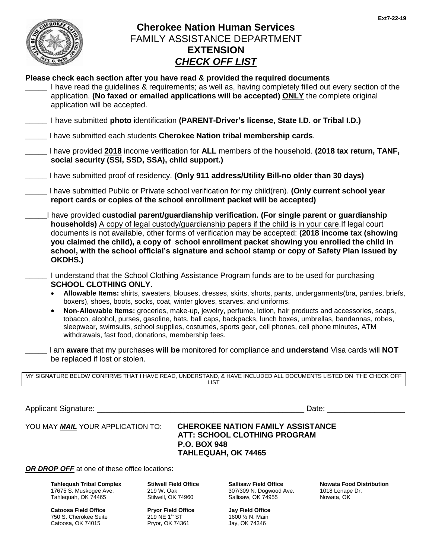

## **Cherokee Nation Human Services** FAMILY ASSISTANCE DEPARTMENT **EXTENSION** *CHECK OFF LIST*

### **Please check each section after you have read & provided the required documents**

- **\_\_\_\_\_** I have read the guidelines & requirements; as well as, having completely filled out every section of the application. **(No faxed or emailed applications will be accepted) ONLY** the complete original application will be accepted.
- **\_\_\_\_\_** I have submitted **photo** identification **(PARENT-Driver's license, State I.D. or Tribal I.D.)**
- **\_\_\_\_\_** I have submitted each students **Cherokee Nation tribal membership cards**.

| I have provided 2018 income verification for ALL members of the household. (2018 tax return, TANF, |  |
|----------------------------------------------------------------------------------------------------|--|
| social security (SSI, SSD, SSA), child support.)                                                   |  |

- **\_\_\_\_\_** I have submitted proof of residency. **(Only 911 address/Utility Bill-no older than 30 days)**
- **\_\_\_\_\_** I have submitted Public or Private school verification for my child(ren). **(Only current school year report cards or copies of the school enrollment packet will be accepted)**
- **\_\_\_\_\_**I have provided **custodial parent/guardianship verification. (For single parent or guardianship households)** A copy of legal custody/guardianship papers if the child is in your care.If legal court documents is not available, other forms of verification may be accepted: **(2018 income tax (showing you claimed the child), a copy of school enrollment packet showing you enrolled the child in school, with the school official's signature and school stamp or copy of Safety Plan issued by OKDHS.)**
- **\_\_\_\_\_** I understand that the School Clothing Assistance Program funds are to be used for purchasing **SCHOOL CLOTHING ONLY.**
	- **Allowable Items:** shirts, sweaters, blouses, dresses, skirts, shorts, pants, undergarments(bra, panties, briefs, boxers), shoes, boots, socks, coat, winter gloves, scarves, and uniforms.
	- **Non-Allowable Items:** groceries, make-up, jewelry, perfume, lotion, hair products and accessories, soaps, tobacco, alcohol, purses, gasoline, hats, ball caps, backpacks, lunch boxes, umbrellas, bandannas, robes, sleepwear, swimsuits, school supplies, costumes, sports gear, cell phones, cell phone minutes, ATM withdrawals, fast food, donations, membership fees.
- **\_\_\_\_\_** I am **aware** that my purchases **will be** monitored for compliance and **understand** Visa cards will **NOT** be replaced if lost or stolen.

| MY SIGNATURE BELOW CONFIRMS THAT I HAVE READ, UNDERSTAND, & HAVE INCLUDED ALL DOCUMENTS LISTED ON THE CHECK OFF |  |
|-----------------------------------------------------------------------------------------------------------------|--|
| ∟lS⊤                                                                                                            |  |

Applicant Signature: \_\_\_\_\_\_\_\_\_\_\_\_\_\_\_\_\_\_\_\_\_\_\_\_\_\_\_\_\_\_\_\_\_\_\_\_\_\_\_\_\_\_\_\_\_\_\_\_ Date: \_\_\_\_\_\_\_\_\_\_\_\_\_\_\_\_\_\_

#### YOU MAY *MAIL* YOUR APPLICATION TO: **CHEROKEE NATION FAMILY ASSISTANCE ATT: SCHOOL CLOTHING PROGRAM P.O. BOX 948 TAHLEQUAH, OK 74465**

*OR DROP OFF* at one of these office locations:

**Tahlequah Tribal Complex** 17675 S. Muskogee Ave. Tahlequah, OK 74465

**Catoosa Field Office** 750 S. Cherokee Suite Catoosa, OK 74015

**Stilwell Field Office** 219 W. Oak Stilwell, OK 74960

**Pryor Field Office**  $219$  NE  $1<sup>st</sup>$  ST Pryor, OK 74361

**Sallisaw Field Office** 307/309 N. Dogwood Ave. Sallisaw, OK 74955

**Jay Field Office** 1600 ½ N. Main Jay, OK 74346

**Nowata Food Distribution** 1018 Lenape Dr. Nowata, OK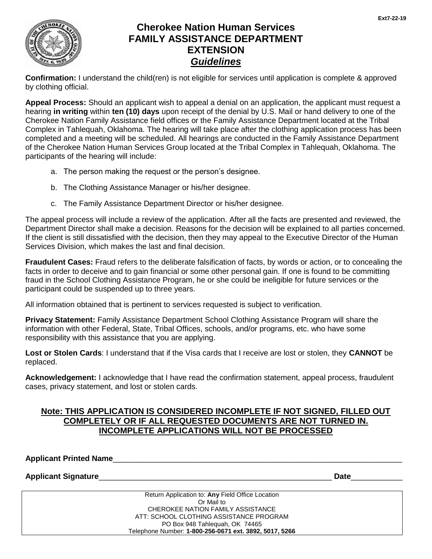

## **Cherokee Nation Human Services FAMILY ASSISTANCE DEPARTMENT EXTENSION** *Guidelines*

**Confirmation:** I understand the child(ren) is not eligible for services until application is complete & approved by clothing official.

**Appeal Process:** Should an applicant wish to appeal a denial on an application, the applicant must request a hearing **in writing** within **ten (10) days** upon receipt of the denial by U.S. Mail or hand delivery to one of the Cherokee Nation Family Assistance field offices or the Family Assistance Department located at the Tribal Complex in Tahlequah, Oklahoma. The hearing will take place after the clothing application process has been completed and a meeting will be scheduled. All hearings are conducted in the Family Assistance Department of the Cherokee Nation Human Services Group located at the Tribal Complex in Tahlequah, Oklahoma. The participants of the hearing will include:

- a. The person making the request or the person's designee.
- b. The Clothing Assistance Manager or his/her designee.
- c. The Family Assistance Department Director or his/her designee.

The appeal process will include a review of the application. After all the facts are presented and reviewed, the Department Director shall make a decision. Reasons for the decision will be explained to all parties concerned. If the client is still dissatisfied with the decision, then they may appeal to the Executive Director of the Human Services Division, which makes the last and final decision.

**Fraudulent Cases:** Fraud refers to the deliberate falsification of facts, by words or action, or to concealing the facts in order to deceive and to gain financial or some other personal gain. If one is found to be committing fraud in the School Clothing Assistance Program, he or she could be ineligible for future services or the participant could be suspended up to three years.

All information obtained that is pertinent to services requested is subject to verification.

**Privacy Statement:** Family Assistance Department School Clothing Assistance Program will share the information with other Federal, State, Tribal Offices, schools, and/or programs, etc. who have some responsibility with this assistance that you are applying.

**Lost or Stolen Cards**: I understand that if the Visa cards that I receive are lost or stolen, they **CANNOT** be replaced.

**Acknowledgement:** I acknowledge that I have read the confirmation statement, appeal process, fraudulent cases, privacy statement, and lost or stolen cards.

### **Note: THIS APPLICATION IS CONSIDERED INCOMPLETE IF NOT SIGNED, FILLED OUT COMPLETELY OR IF ALL REQUESTED DOCUMENTS ARE NOT TURNED IN. INCOMPLETE APPLICATIONS WILL NOT BE PROCESSED**

**Applicant Printed Name**\_\_\_\_\_\_\_\_\_\_\_\_\_\_\_\_\_\_\_\_\_\_\_\_\_\_\_\_\_\_\_\_\_\_\_\_\_\_\_\_\_\_\_\_\_\_\_\_\_\_\_\_\_\_\_\_\_\_\_\_\_\_\_\_\_\_\_

**Applicant Signature**\_\_\_\_\_\_\_\_\_\_\_\_\_\_\_\_\_\_\_\_\_\_\_\_\_\_\_\_\_\_\_\_\_\_\_\_\_\_\_\_\_\_\_\_\_\_\_\_\_\_\_\_\_\_ **Date**\_\_\_\_\_\_\_\_\_\_\_\_

| Return Application to: Any Field Office Location       |  |  |  |  |
|--------------------------------------------------------|--|--|--|--|
| Or Mail to                                             |  |  |  |  |
| CHEROKEE NATION FAMILY ASSISTANCE                      |  |  |  |  |
| ATT: SCHOOL CLOTHING ASSISTANCE PROGRAM                |  |  |  |  |
| PO Box 948 Tahleguah, OK 74465                         |  |  |  |  |
| Telephone Number: 1-800-256-0671 ext. 3892, 5017, 5266 |  |  |  |  |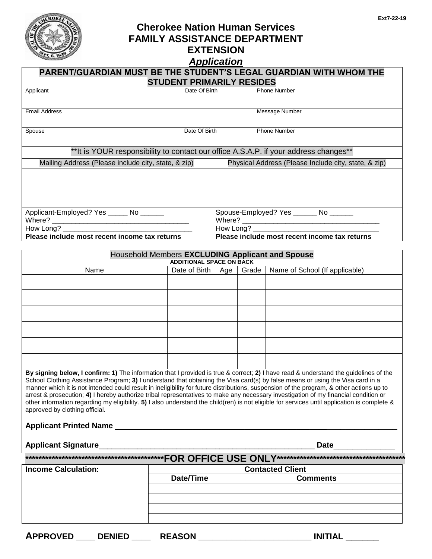

# **Cherokee Nation Human Services FAMILY ASSISTANCE DEPARTMENT EXTENSION**

## *Application*

| Application                                                                                                                                                                                                                                                                                                                                                                                                                                                                                                                                                                                                                                                                                                                                                                  |                                 |                                                            |                                         |                       |                                                      |  |
|------------------------------------------------------------------------------------------------------------------------------------------------------------------------------------------------------------------------------------------------------------------------------------------------------------------------------------------------------------------------------------------------------------------------------------------------------------------------------------------------------------------------------------------------------------------------------------------------------------------------------------------------------------------------------------------------------------------------------------------------------------------------------|---------------------------------|------------------------------------------------------------|-----------------------------------------|-----------------------|------------------------------------------------------|--|
| PARENT/GUARDIAN MUST BE THE STUDENT'S LEGAL GUARDIAN WITH WHOM THE<br><b>STUDENT PRIMARILY RESIDES</b>                                                                                                                                                                                                                                                                                                                                                                                                                                                                                                                                                                                                                                                                       |                                 |                                                            |                                         |                       |                                                      |  |
| Applicant                                                                                                                                                                                                                                                                                                                                                                                                                                                                                                                                                                                                                                                                                                                                                                    | Date Of Birth                   |                                                            |                                         |                       | Phone Number                                         |  |
|                                                                                                                                                                                                                                                                                                                                                                                                                                                                                                                                                                                                                                                                                                                                                                              |                                 |                                                            |                                         |                       |                                                      |  |
| <b>Email Address</b>                                                                                                                                                                                                                                                                                                                                                                                                                                                                                                                                                                                                                                                                                                                                                         |                                 |                                                            |                                         | <b>Message Number</b> |                                                      |  |
| Date Of Birth<br>Spouse                                                                                                                                                                                                                                                                                                                                                                                                                                                                                                                                                                                                                                                                                                                                                      |                                 |                                                            |                                         | <b>Phone Number</b>   |                                                      |  |
| ** It is YOUR responsibility to contact our office A.S.A.P. if your address changes**                                                                                                                                                                                                                                                                                                                                                                                                                                                                                                                                                                                                                                                                                        |                                 |                                                            |                                         |                       |                                                      |  |
| Mailing Address (Please include city, state, & zip)                                                                                                                                                                                                                                                                                                                                                                                                                                                                                                                                                                                                                                                                                                                          |                                 |                                                            |                                         |                       | Physical Address (Please Include city, state, & zip) |  |
|                                                                                                                                                                                                                                                                                                                                                                                                                                                                                                                                                                                                                                                                                                                                                                              |                                 |                                                            |                                         |                       |                                                      |  |
| Applicant-Employed? Yes _____ No ______                                                                                                                                                                                                                                                                                                                                                                                                                                                                                                                                                                                                                                                                                                                                      |                                 |                                                            |                                         |                       | Spouse-Employed? Yes _______ No ______               |  |
| Where?                                                                                                                                                                                                                                                                                                                                                                                                                                                                                                                                                                                                                                                                                                                                                                       |                                 |                                                            |                                         |                       |                                                      |  |
| How Long?<br>Please include most recent income tax returns                                                                                                                                                                                                                                                                                                                                                                                                                                                                                                                                                                                                                                                                                                                   |                                 | How Long?<br>Please include most recent income tax returns |                                         |                       |                                                      |  |
|                                                                                                                                                                                                                                                                                                                                                                                                                                                                                                                                                                                                                                                                                                                                                                              |                                 |                                                            |                                         |                       |                                                      |  |
| Household Members EXCLUDING Applicant and Spouse                                                                                                                                                                                                                                                                                                                                                                                                                                                                                                                                                                                                                                                                                                                             | <b>ADDITIONAL SPACE ON BACK</b> |                                                            |                                         |                       |                                                      |  |
| Name<br>Date of Birth   Age                                                                                                                                                                                                                                                                                                                                                                                                                                                                                                                                                                                                                                                                                                                                                  |                                 |                                                            | Name of School (If applicable)<br>Grade |                       |                                                      |  |
|                                                                                                                                                                                                                                                                                                                                                                                                                                                                                                                                                                                                                                                                                                                                                                              |                                 |                                                            |                                         |                       |                                                      |  |
|                                                                                                                                                                                                                                                                                                                                                                                                                                                                                                                                                                                                                                                                                                                                                                              |                                 |                                                            |                                         |                       |                                                      |  |
|                                                                                                                                                                                                                                                                                                                                                                                                                                                                                                                                                                                                                                                                                                                                                                              |                                 |                                                            |                                         |                       |                                                      |  |
|                                                                                                                                                                                                                                                                                                                                                                                                                                                                                                                                                                                                                                                                                                                                                                              |                                 |                                                            |                                         |                       |                                                      |  |
|                                                                                                                                                                                                                                                                                                                                                                                                                                                                                                                                                                                                                                                                                                                                                                              |                                 |                                                            |                                         |                       |                                                      |  |
|                                                                                                                                                                                                                                                                                                                                                                                                                                                                                                                                                                                                                                                                                                                                                                              |                                 |                                                            |                                         |                       |                                                      |  |
| By signing below, I confirm: 1) The information that I provided is true & correct; 2) I have read & understand the guidelines of the<br>School Clothing Assistance Program; 3) I understand that obtaining the Visa card(s) by false means or using the Visa card in a<br>manner which it is not intended could result in ineligibility for future distributions, suspension of the program, & other actions up to<br>arrest & prosecution; 4) I hereby authorize tribal representatives to make any necessary investigation of my financial condition or<br>other information regarding my eligibility. 5) I also understand the child(ren) is not eligible for services until application is complete &<br>approved by clothing official.<br><b>Applicant Printed Name</b> |                                 |                                                            |                                         |                       |                                                      |  |

# **Applicant Signature**\_\_\_\_\_\_\_\_\_\_\_\_\_\_\_\_\_\_\_\_\_\_\_\_\_\_\_\_\_\_\_\_\_\_\_\_\_\_\_\_\_\_\_\_\_\_\_\_\_\_ **Date**\_\_\_\_\_\_\_\_\_\_\_\_\_

| <b>Income Calculation:</b> | <b>Contacted Client</b> |                 |  |  |  |
|----------------------------|-------------------------|-----------------|--|--|--|
|                            | Date/Time               | <b>Comments</b> |  |  |  |
|                            |                         |                 |  |  |  |
|                            |                         |                 |  |  |  |
|                            |                         |                 |  |  |  |
|                            |                         |                 |  |  |  |
|                            |                         |                 |  |  |  |

**\*\*\*\*\*\*\*\*\*\*\*\*\*\*\*\*\*\*\*\*\*\*\*\*\*\*\*\*\*\*\*\*\*\*\*\*\*\*\*\*\*\*FOR OFFICE USE ONLY\*\*\*\*\*\*\*\*\*\*\*\*\*\*\*\*\*\*\*\*\*\*\*\*\*\*\*\*\*\*\*\*\*\*\*\*\*\*\***

| 3001F<br><u>т.</u><br>டப<br>ЛI<br>-- | 'NIICF<br><br>. | __ | .<br>∼ |
|--------------------------------------|-----------------|----|--------|
|--------------------------------------|-----------------|----|--------|